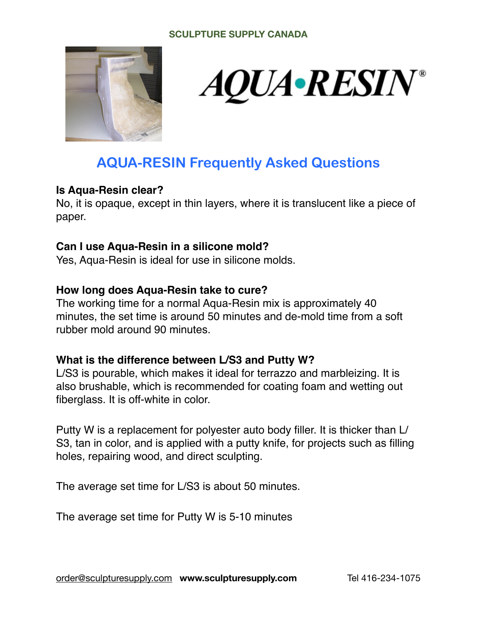

# *AQUA•RESIN®*

# **AQUA-RESIN Frequently Asked Questions**

#### **Is Aqua-Resin clear?**

No, it is opaque, except in thin layers, where it is translucent like a piece of paper.

#### **Can I use Aqua-Resin in a silicone mold?**

Yes, Aqua-Resin is ideal for use in silicone molds.

#### **How long does Aqua-Resin take to cure?**

The working time for a normal Aqua‐Resin mix is approximately 40 minutes, the set time is around 50 minutes and de-mold time from a soft rubber mold around 90 minutes.

#### **What is the difference between L/S3 and Putty W?**

L/S3 is pourable, which makes it ideal for terrazzo and marbleizing. It is also brushable, which is recommended for coating foam and wetting out fiberglass. It is off-white in color.

Putty W is a replacement for polyester auto body filler. It is thicker than L/ S3, tan in color, and is applied with a putty knife, for projects such as filling holes, repairing wood, and direct sculpting.

The average set time for L/S3 is about 50 minutes.

The average set time for Putty W is 5-10 minutes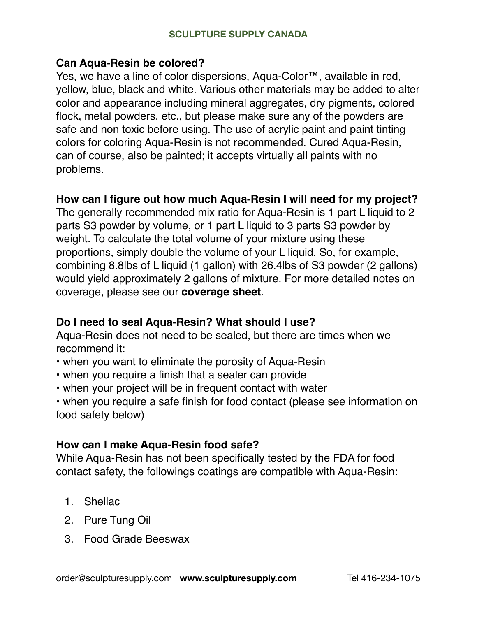#### **Can Aqua-Resin be colored?**

Yes, we have a line of color dispersions, Aqua-Color™, available in red, yellow, blue, black and white. Various other materials may be added to alter color and appearance including mineral aggregates, dry pigments, colored flock, metal powders, etc., but please make sure any of the powders are safe and non toxic before using. The use of acrylic paint and paint tinting colors for coloring Aqua‐Resin is not recommended. Cured Aqua‐Resin, can of course, also be painted; it accepts virtually all paints with no problems.

#### **How can I figure out how much Aqua-Resin I will need for my project?**

The generally recommended mix ratio for Aqua-Resin is 1 part L liquid to 2 parts S3 powder by volume, or 1 part L liquid to 3 parts S3 powder by weight. To calculate the total volume of your mixture using these proportions, simply double the volume of your L liquid. So, for example, combining 8.8lbs of L liquid (1 gallon) with 26.4lbs of S3 powder (2 gallons) would yield approximately 2 gallons of mixture. For more detailed notes on coverage, please see our **[coverage sheet](https://www.aquaresin.com/s/Coverage-2021.pdf)**.

#### **Do I need to seal Aqua-Resin? What should I use?**

Aqua-Resin does not need to be sealed, but there are times when we recommend it:

- when you want to eliminate the porosity of Aqua-Resin
- when you require a finish that a sealer can provide
- when your project will be in frequent contact with water

• when you require a safe finish for food contact (please see information on food safety below)

#### **How can I make Aqua-Resin food safe?**

While Aqua-Resin has not been specifically tested by the FDA for food contact safety, the followings coatings are compatible with Aqua-Resin:

- 1. Shellac
- 2. Pure Tung Oil
- 3. Food Grade Beeswax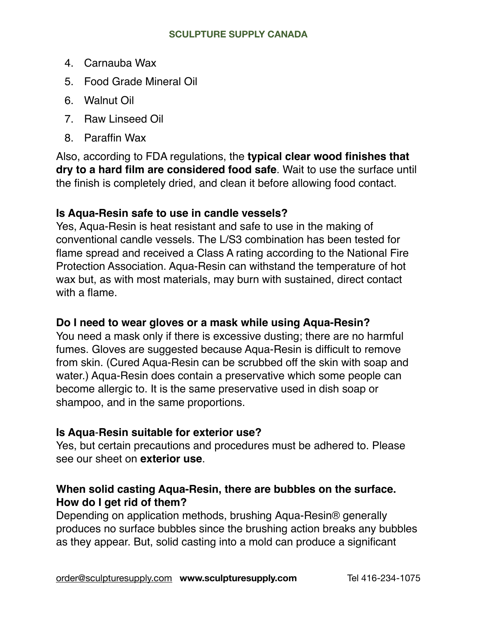- 4. Carnauba Wax
- 5. Food Grade Mineral Oil
- 6. Walnut Oil
- 7. Raw Linseed Oil
- 8. Paraffin Wax

Also, according to FDA regulations, the **typical clear wood finishes that dry to a hard film are considered food safe**. Wait to use the surface until the finish is completely dried, and clean it before allowing food contact.

# **Is Aqua-Resin safe to use in candle vessels?**

Yes, Aqua-Resin is heat resistant and safe to use in the making of conventional candle vessels. The L/S3 combination has been tested for flame spread and received a Class A rating according to the National Fire Protection Association. Aqua-Resin can withstand the temperature of hot wax but, as with most materials, may burn with sustained, direct contact with a flame.

# **Do I need to wear gloves or a mask while using Aqua-Resin?**

You need a mask only if there is excessive dusting; there are no harmful fumes. Gloves are suggested because Aqua-Resin is difficult to remove from skin. (Cured Aqua-Resin can be scrubbed off the skin with soap and water.) Aqua-Resin does contain a preservative which some people can become allergic to. It is the same preservative used in dish soap or shampoo, and in the same proportions.

# **Is Aqua**‐**Resin suitable for exterior use?**

Yes, but certain precautions and procedures must be adhered to. Please see our sheet on **[exterior use](https://www.aquaresin.com/s/EXTERIOR-USE-051817rev.pdf)**.

# **When solid casting Aqua-Resin, there are bubbles on the surface. How do I get rid of them?**

Depending on application methods, brushing Aqua-Resin® generally produces no surface bubbles since the brushing action breaks any bubbles as they appear. But, solid casting into a mold can produce a significant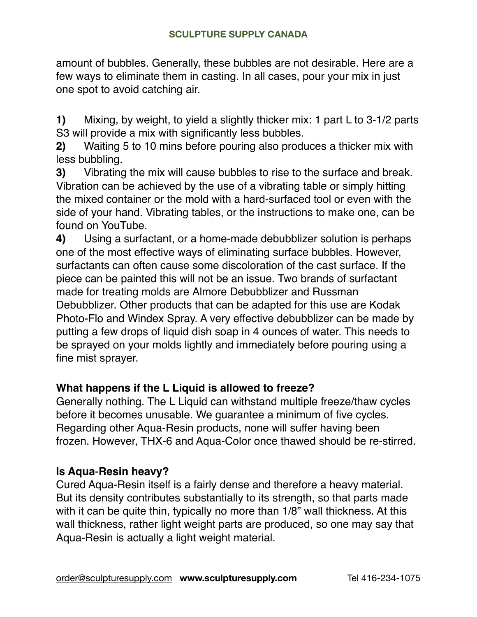amount of bubbles. Generally, these bubbles are not desirable. Here are a few ways to eliminate them in casting. In all cases, pour your mix in just one spot to avoid catching air.

**1)** Mixing, by weight, to yield a slightly thicker mix: 1 part L to 3-1/2 parts S3 will provide a mix with significantly less bubbles.

**2)** Waiting 5 to 10 mins before pouring also produces a thicker mix with less bubbling.

**3)** Vibrating the mix will cause bubbles to rise to the surface and break. Vibration can be achieved by the use of a vibrating table or simply hitting the mixed container or the mold with a hard-surfaced tool or even with the side of your hand. Vibrating tables, or the instructions to make one, can be found on YouTube.

**4)** Using a surfactant, or a home-made debubblizer solution is perhaps one of the most effective ways of eliminating surface bubbles. However, surfactants can often cause some discoloration of the cast surface. If the piece can be painted this will not be an issue. Two brands of surfactant made for treating molds are Almore Debubblizer and Russman Debubblizer. Other products that can be adapted for this use are Kodak Photo-Flo and Windex Spray. A very effective debubblizer can be made by putting a few drops of liquid dish soap in 4 ounces of water. This needs to be sprayed on your molds lightly and immediately before pouring using a fine mist sprayer.

# **What happens if the L Liquid is allowed to freeze?**

Generally nothing. The L Liquid can withstand multiple freeze/thaw cycles before it becomes unusable. We guarantee a minimum of five cycles. Regarding other Aqua-Resin products, none will suffer having been frozen. However, THX-6 and Aqua-Color once thawed should be re-stirred.

# **Is Aqua**‐**Resin heavy?**

Cured Aqua‐Resin itself is a fairly dense and therefore a heavy material. But its density contributes substantially to its strength, so that parts made with it can be quite thin, typically no more than 1/8" wall thickness. At this wall thickness, rather light weight parts are produced, so one may say that Aqua‐Resin is actually a light weight material.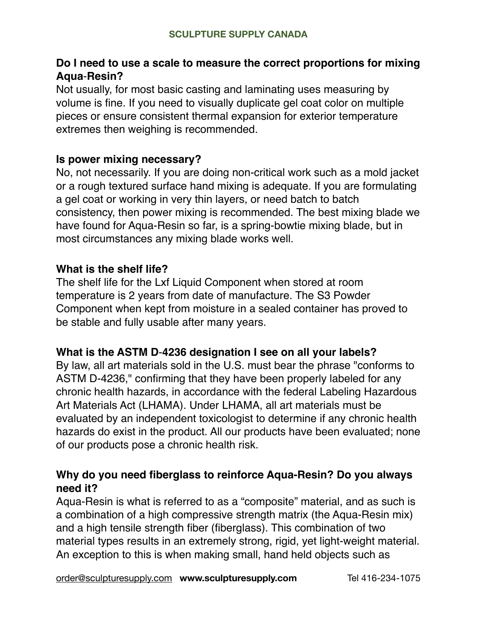# **Do I need to use a scale to measure the correct proportions for mixing Aqua**‐**Resin?**

Not usually, for most basic casting and laminating uses measuring by volume is fine. If you need to visually duplicate gel coat color on multiple pieces or ensure consistent thermal expansion for exterior temperature extremes then weighing is recommended.

#### **Is power mixing necessary?**

No, not necessarily. If you are doing non‐critical work such as a mold jacket or a rough textured surface hand mixing is adequate. If you are formulating a gel coat or working in very thin layers, or need batch to batch consistency, then power mixing is recommended. The best mixing blade we have found for Aqua-Resin so far, is a spring-bowtie mixing blade, but in most circumstances any mixing blade works well.

#### **What is the shelf life?**

The shelf life for the Lxf Liquid Component when stored at room temperature is 2 years from date of manufacture. The S3 Powder Component when kept from moisture in a sealed container has proved to be stable and fully usable after many years.

#### **What is the ASTM D**‐**4236 designation I see on all your labels?**

By law, all art materials sold in the U.S. must bear the phrase "conforms to ASTM D-4236," confirming that they have been properly labeled for any chronic health hazards, in accordance with the federal Labeling Hazardous Art Materials Act (LHAMA). Under LHAMA, all art materials must be evaluated by an independent toxicologist to determine if any chronic health hazards do exist in the product. All our products have been evaluated; none of our products pose a chronic health risk.

#### **Why do you need fiberglass to reinforce Aqua-Resin? Do you always need it?**

Aqua‐Resin is what is referred to as a "composite" material, and as such is a combination of a high compressive strength matrix (the Aqua‐Resin mix) and a high tensile strength fiber (fiberglass). This combination of two material types results in an extremely strong, rigid, yet light-weight material. An exception to this is when making small, hand held objects such as

[order@sculpturesupply.com](mailto:order@sculpturesupply.com) **www.sculpturesupply.com** Tel 416-234-1075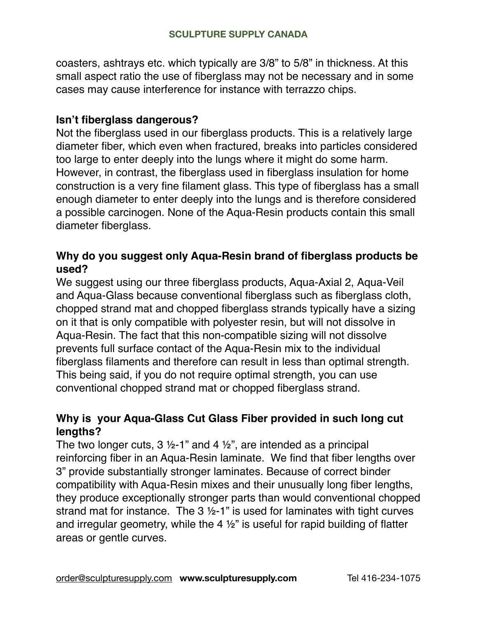coasters, ashtrays etc. which typically are 3/8" to 5/8" in thickness. At this small aspect ratio the use of fiberglass may not be necessary and in some cases may cause interference for instance with terrazzo chips.

#### **Isn't fiberglass dangerous?**

Not the fiberglass used in our fiberglass products. This is a relatively large diameter fiber, which even when fractured, breaks into particles considered too large to enter deeply into the lungs where it might do some harm. However, in contrast, the fiberglass used in fiberglass insulation for home construction is a very fine filament glass. This type of fiberglass has a small enough diameter to enter deeply into the lungs and is therefore considered a possible carcinogen. None of the Aqua-Resin products contain this small diameter fiberglass.

#### **Why do you suggest only Aqua-Resin brand of fiberglass products be used?**

We suggest using our three fiberglass products, Aqua-Axial 2, Aqua-Veil and Aqua-Glass because conventional fiberglass such as fiberglass cloth, chopped strand mat and chopped fiberglass strands typically have a sizing on it that is only compatible with polyester resin, but will not dissolve in Aqua‐Resin. The fact that this non‐compatible sizing will not dissolve prevents full surface contact of the Aqua-Resin mix to the individual fiberglass filaments and therefore can result in less than optimal strength. This being said, if you do not require optimal strength, you can use conventional chopped strand mat or chopped fiberglass strand.

# **Why is your Aqua-Glass Cut Glass Fiber provided in such long cut lengths?**

The two longer cuts,  $3 \frac{1}{2}$ -1" and 4  $\frac{1}{2}$ ", are intended as a principal reinforcing fiber in an Aqua-Resin laminate. We find that fiber lengths over 3" provide substantially stronger laminates. Because of correct binder compatibility with Aqua-Resin mixes and their unusually long fiber lengths, they produce exceptionally stronger parts than would conventional chopped strand mat for instance. The 3 ½-1" is used for laminates with tight curves and irregular geometry, while the 4  $\frac{1}{2}$ " is useful for rapid building of flatter areas or gentle curves.